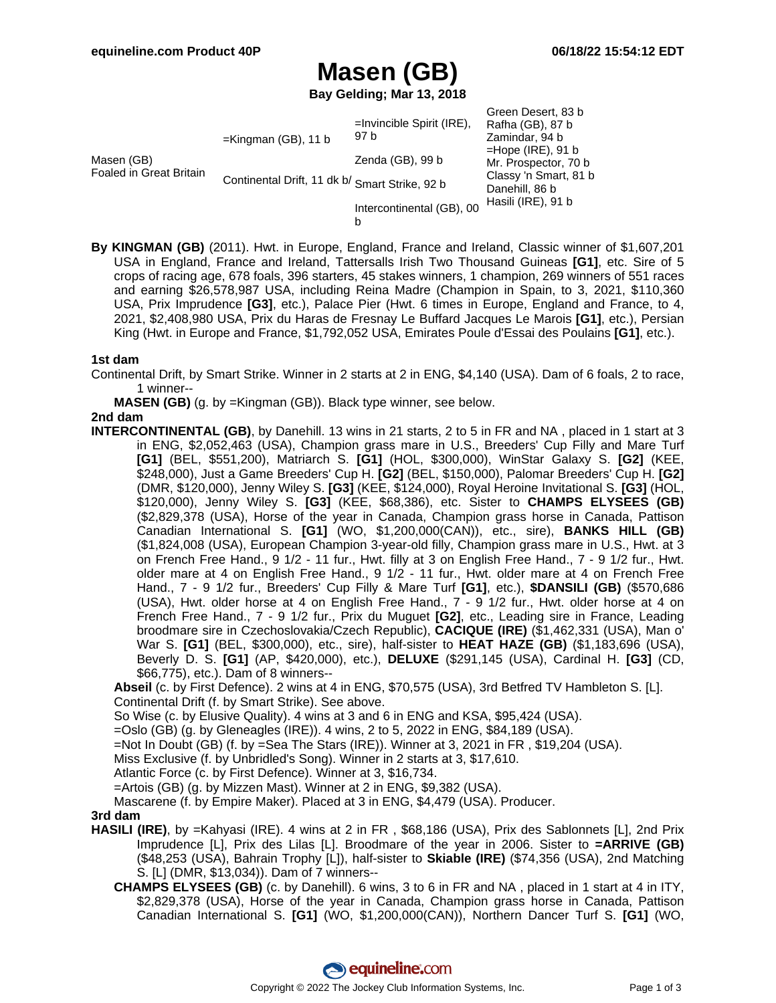# **Masen (GB)**

**Bay Gelding; Mar 13, 2018**

| Masen (GB)<br>Foaled in Great Britain | $=$ Kingman (GB), 11 b<br>Continental Drift, 11 dk b/ Smart Strike, 92 b | $=$ Invincible Spirit (IRE),<br>97 b | Green Desert, 83 b<br>Rafha (GB), 87 b<br>Zamindar, 94 b<br>$=$ Hope (IRE), 91 b<br>Mr. Prospector, 70 b<br>Classy 'n Smart, 81 b<br>Danehill, 86 b<br>Hasili (IRE), 91 b |
|---------------------------------------|--------------------------------------------------------------------------|--------------------------------------|---------------------------------------------------------------------------------------------------------------------------------------------------------------------------|
|                                       |                                                                          | Zenda (GB), 99 b                     |                                                                                                                                                                           |
|                                       |                                                                          |                                      |                                                                                                                                                                           |
|                                       |                                                                          | Intercontinental (GB), 00            |                                                                                                                                                                           |

**By KINGMAN (GB)** (2011). Hwt. in Europe, England, France and Ireland, Classic winner of \$1,607,201 USA in England, France and Ireland, Tattersalls Irish Two Thousand Guineas **[G1]**, etc. Sire of 5 crops of racing age, 678 foals, 396 starters, 45 stakes winners, 1 champion, 269 winners of 551 races and earning \$26,578,987 USA, including Reina Madre (Champion in Spain, to 3, 2021, \$110,360 USA, Prix Imprudence **[G3]**, etc.), Palace Pier (Hwt. 6 times in Europe, England and France, to 4, 2021, \$2,408,980 USA, Prix du Haras de Fresnay Le Buffard Jacques Le Marois **[G1]**, etc.), Persian King (Hwt. in Europe and France, \$1,792,052 USA, Emirates Poule d'Essai des Poulains **[G1]**, etc.).

#### **1st dam**

- Continental Drift, by Smart Strike. Winner in 2 starts at 2 in ENG, \$4,140 (USA). Dam of 6 foals, 2 to race, 1 winner--
	- **MASEN (GB)** (g. by =Kingman (GB)). Black type winner, see below.

### **2nd dam**

**INTERCONTINENTAL (GB)**, by Danehill. 13 wins in 21 starts, 2 to 5 in FR and NA , placed in 1 start at 3 in ENG, \$2,052,463 (USA), Champion grass mare in U.S., Breeders' Cup Filly and Mare Turf **[G1]** (BEL, \$551,200), Matriarch S. **[G1]** (HOL, \$300,000), WinStar Galaxy S. **[G2]** (KEE, \$248,000), Just a Game Breeders' Cup H. **[G2]** (BEL, \$150,000), Palomar Breeders' Cup H. **[G2]** (DMR, \$120,000), Jenny Wiley S. **[G3]** (KEE, \$124,000), Royal Heroine Invitational S. **[G3]** (HOL, \$120,000), Jenny Wiley S. **[G3]** (KEE, \$68,386), etc. Sister to **CHAMPS ELYSEES (GB)** (\$2,829,378 (USA), Horse of the year in Canada, Champion grass horse in Canada, Pattison Canadian International S. **[G1]** (WO, \$1,200,000(CAN)), etc., sire), **BANKS HILL (GB)** (\$1,824,008 (USA), European Champion 3-year-old filly, Champion grass mare in U.S., Hwt. at 3 on French Free Hand., 9 1/2 - 11 fur., Hwt. filly at 3 on English Free Hand., 7 - 9 1/2 fur., Hwt. older mare at 4 on English Free Hand., 9 1/2 - 11 fur., Hwt. older mare at 4 on French Free Hand., 7 - 9 1/2 fur., Breeders' Cup Filly & Mare Turf **[G1]**, etc.), **\$DANSILI (GB)** (\$570,686 (USA), Hwt. older horse at 4 on English Free Hand., 7 - 9 1/2 fur., Hwt. older horse at 4 on French Free Hand., 7 - 9 1/2 fur., Prix du Muguet **[G2]**, etc., Leading sire in France, Leading broodmare sire in Czechoslovakia/Czech Republic), **CACIQUE (IRE)** (\$1,462,331 (USA), Man o' War S. **[G1]** (BEL, \$300,000), etc., sire), half-sister to **HEAT HAZE (GB)** (\$1,183,696 (USA), Beverly D. S. **[G1]** (AP, \$420,000), etc.), **DELUXE** (\$291,145 (USA), Cardinal H. **[G3]** (CD, \$66,775), etc.). Dam of 8 winners--

**Abseil** (c. by First Defence). 2 wins at 4 in ENG, \$70,575 (USA), 3rd Betfred TV Hambleton S. [L]. Continental Drift (f. by Smart Strike). See above.

So Wise (c. by Elusive Quality). 4 wins at 3 and 6 in ENG and KSA, \$95,424 (USA).

=Oslo (GB) (g. by Gleneagles (IRE)). 4 wins, 2 to 5, 2022 in ENG, \$84,189 (USA).

=Not In Doubt (GB) (f. by =Sea The Stars (IRE)). Winner at 3, 2021 in FR , \$19,204 (USA).

Miss Exclusive (f. by Unbridled's Song). Winner in 2 starts at 3, \$17,610.

Atlantic Force (c. by First Defence). Winner at 3, \$16,734.

=Artois (GB) (g. by Mizzen Mast). Winner at 2 in ENG, \$9,382 (USA).

Mascarene (f. by Empire Maker). Placed at 3 in ENG, \$4,479 (USA). Producer.

#### **3rd dam**

- **HASILI (IRE)**, by =Kahyasi (IRE). 4 wins at 2 in FR , \$68,186 (USA), Prix des Sablonnets [L], 2nd Prix Imprudence [L], Prix des Lilas [L]. Broodmare of the year in 2006. Sister to **=ARRIVE (GB)** (\$48,253 (USA), Bahrain Trophy [L]), half-sister to **Skiable (IRE)** (\$74,356 (USA), 2nd Matching S. [L] (DMR, \$13,034)). Dam of 7 winners--
	- **CHAMPS ELYSEES (GB)** (c. by Danehill). 6 wins, 3 to 6 in FR and NA , placed in 1 start at 4 in ITY, \$2,829,378 (USA), Horse of the year in Canada, Champion grass horse in Canada, Pattison Canadian International S. **[G1]** (WO, \$1,200,000(CAN)), Northern Dancer Turf S. **[G1]** (WO,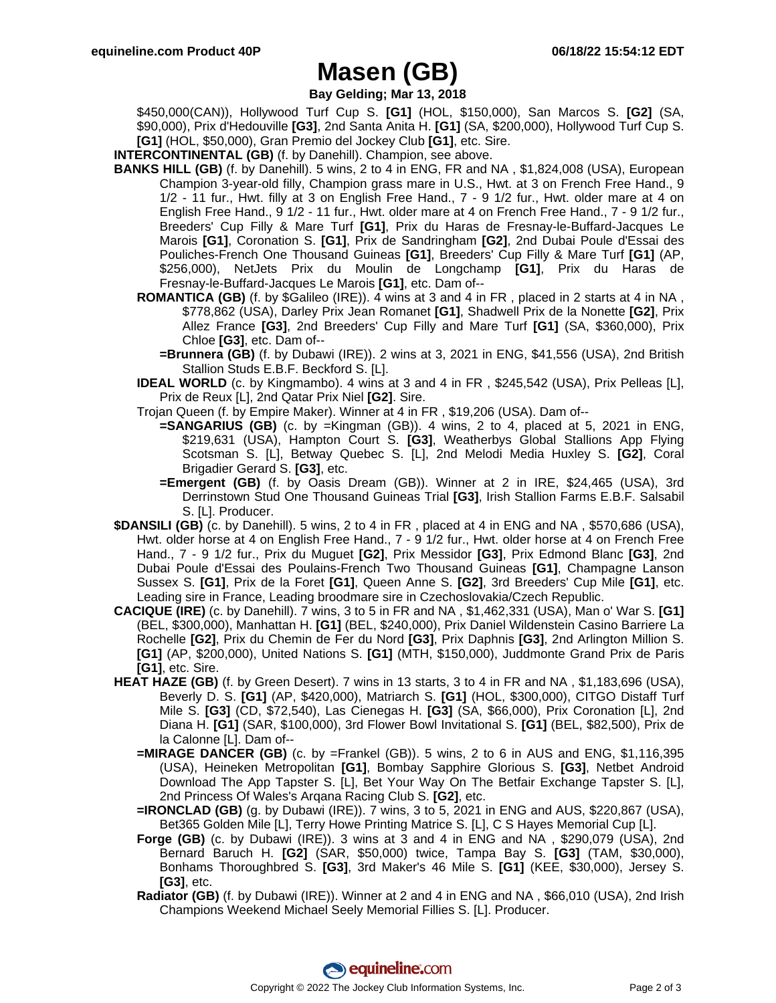### **Masen (GB)**

**Bay Gelding; Mar 13, 2018**

\$450,000(CAN)), Hollywood Turf Cup S. **[G1]** (HOL, \$150,000), San Marcos S. **[G2]** (SA, \$90,000), Prix d'Hedouville **[G3]**, 2nd Santa Anita H. **[G1]** (SA, \$200,000), Hollywood Turf Cup S. **[G1]** (HOL, \$50,000), Gran Premio del Jockey Club **[G1]**, etc. Sire.

- **INTERCONTINENTAL (GB)** (f. by Danehill). Champion, see above.
- **BANKS HILL (GB)** (f. by Danehill). 5 wins, 2 to 4 in ENG, FR and NA , \$1,824,008 (USA), European Champion 3-year-old filly, Champion grass mare in U.S., Hwt. at 3 on French Free Hand., 9 1/2 - 11 fur., Hwt. filly at 3 on English Free Hand., 7 - 9 1/2 fur., Hwt. older mare at 4 on English Free Hand., 9 1/2 - 11 fur., Hwt. older mare at 4 on French Free Hand., 7 - 9 1/2 fur., Breeders' Cup Filly & Mare Turf **[G1]**, Prix du Haras de Fresnay-le-Buffard-Jacques Le Marois **[G1]**, Coronation S. **[G1]**, Prix de Sandringham **[G2]**, 2nd Dubai Poule d'Essai des Pouliches-French One Thousand Guineas **[G1]**, Breeders' Cup Filly & Mare Turf **[G1]** (AP, \$256,000), NetJets Prix du Moulin de Longchamp **[G1]**, Prix du Haras de Fresnay-le-Buffard-Jacques Le Marois **[G1]**, etc. Dam of--
	- **ROMANTICA (GB)** (f. by \$Galileo (IRE)). 4 wins at 3 and 4 in FR , placed in 2 starts at 4 in NA , \$778,862 (USA), Darley Prix Jean Romanet **[G1]**, Shadwell Prix de la Nonette **[G2]**, Prix Allez France **[G3]**, 2nd Breeders' Cup Filly and Mare Turf **[G1]** (SA, \$360,000), Prix Chloe **[G3]**, etc. Dam of--
		- **=Brunnera (GB)** (f. by Dubawi (IRE)). 2 wins at 3, 2021 in ENG, \$41,556 (USA), 2nd British Stallion Studs E.B.F. Beckford S. [L].
	- **IDEAL WORLD** (c. by Kingmambo). 4 wins at 3 and 4 in FR , \$245,542 (USA), Prix Pelleas [L], Prix de Reux [L], 2nd Qatar Prix Niel **[G2]**. Sire.
	- Trojan Queen (f. by Empire Maker). Winner at 4 in FR , \$19,206 (USA). Dam of--
		- **=SANGARIUS (GB)** (c. by =Kingman (GB)). 4 wins, 2 to 4, placed at 5, 2021 in ENG, \$219,631 (USA), Hampton Court S. **[G3]**, Weatherbys Global Stallions App Flying Scotsman S. [L], Betway Quebec S. [L], 2nd Melodi Media Huxley S. **[G2]**, Coral Brigadier Gerard S. **[G3]**, etc.
		- **=Emergent (GB)** (f. by Oasis Dream (GB)). Winner at 2 in IRE, \$24,465 (USA), 3rd Derrinstown Stud One Thousand Guineas Trial **[G3]**, Irish Stallion Farms E.B.F. Salsabil S. [L]. Producer.
- **\$DANSILI (GB)** (c. by Danehill). 5 wins, 2 to 4 in FR , placed at 4 in ENG and NA , \$570,686 (USA), Hwt. older horse at 4 on English Free Hand., 7 - 9 1/2 fur., Hwt. older horse at 4 on French Free Hand., 7 - 9 1/2 fur., Prix du Muguet **[G2]**, Prix Messidor **[G3]**, Prix Edmond Blanc **[G3]**, 2nd Dubai Poule d'Essai des Poulains-French Two Thousand Guineas **[G1]**, Champagne Lanson Sussex S. **[G1]**, Prix de la Foret **[G1]**, Queen Anne S. **[G2]**, 3rd Breeders' Cup Mile **[G1]**, etc. Leading sire in France, Leading broodmare sire in Czechoslovakia/Czech Republic.
- **CACIQUE (IRE)** (c. by Danehill). 7 wins, 3 to 5 in FR and NA , \$1,462,331 (USA), Man o' War S. **[G1]** (BEL, \$300,000), Manhattan H. **[G1]** (BEL, \$240,000), Prix Daniel Wildenstein Casino Barriere La Rochelle **[G2]**, Prix du Chemin de Fer du Nord **[G3]**, Prix Daphnis **[G3]**, 2nd Arlington Million S. **[G1]** (AP, \$200,000), United Nations S. **[G1]** (MTH, \$150,000), Juddmonte Grand Prix de Paris **[G1]**, etc. Sire.
- **HEAT HAZE (GB)** (f. by Green Desert). 7 wins in 13 starts, 3 to 4 in FR and NA , \$1,183,696 (USA), Beverly D. S. **[G1]** (AP, \$420,000), Matriarch S. **[G1]** (HOL, \$300,000), CITGO Distaff Turf Mile S. **[G3]** (CD, \$72,540), Las Cienegas H. **[G3]** (SA, \$66,000), Prix Coronation [L], 2nd Diana H. **[G1]** (SAR, \$100,000), 3rd Flower Bowl Invitational S. **[G1]** (BEL, \$82,500), Prix de la Calonne [L]. Dam of--
	- **=MIRAGE DANCER (GB)** (c. by =Frankel (GB)). 5 wins, 2 to 6 in AUS and ENG, \$1,116,395 (USA), Heineken Metropolitan **[G1]**, Bombay Sapphire Glorious S. **[G3]**, Netbet Android Download The App Tapster S. [L], Bet Your Way On The Betfair Exchange Tapster S. [L], 2nd Princess Of Wales's Arqana Racing Club S. **[G2]**, etc.
	- **=IRONCLAD (GB)** (g. by Dubawi (IRE)). 7 wins, 3 to 5, 2021 in ENG and AUS, \$220,867 (USA), Bet365 Golden Mile [L], Terry Howe Printing Matrice S. [L], C S Hayes Memorial Cup [L].
	- **Forge (GB)** (c. by Dubawi (IRE)). 3 wins at 3 and 4 in ENG and NA , \$290,079 (USA), 2nd Bernard Baruch H. **[G2]** (SAR, \$50,000) twice, Tampa Bay S. **[G3]** (TAM, \$30,000), Bonhams Thoroughbred S. **[G3]**, 3rd Maker's 46 Mile S. **[G1]** (KEE, \$30,000), Jersey S. **[G3]**, etc.
	- **Radiator (GB)** (f. by Dubawi (IRE)). Winner at 2 and 4 in ENG and NA , \$66,010 (USA), 2nd Irish Champions Weekend Michael Seely Memorial Fillies S. [L]. Producer.